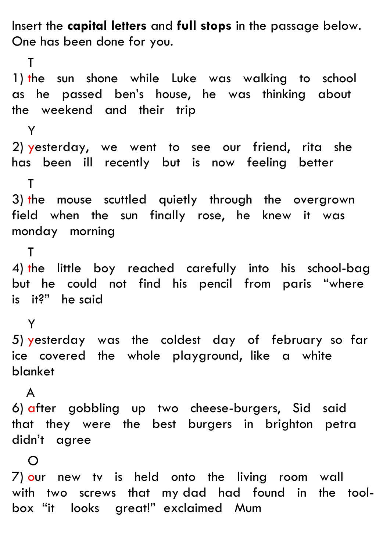Insert the **capital letters** and **full stops** in the passage below. One has been done for you.

 T 1) the sun shone while Luke was walking to school as he passed ben's house, he was thinking about the weekend and their trip Y 2) yesterday, we went to see our friend, rita she has been ill recently but is now feeling better T 3) the mouse scuttled quietly through the overgrown field when the sun finally rose, he knew it was monday morning T 4) the little boy reached carefully into his school-bag but he could not find his pencil from paris "where is it?" he said Y 5) yesterday was the coldest day of february so far ice covered the whole playground, like a white blanket A 6) after gobbling up two cheese-burgers, Sid said that they were the best burgers in brighton petra didn't agree  $\Omega$ 7) our newtv is held onto the living room wall

with two screws that my dad had found in the toolbox "it looks great!" exclaimed Mum